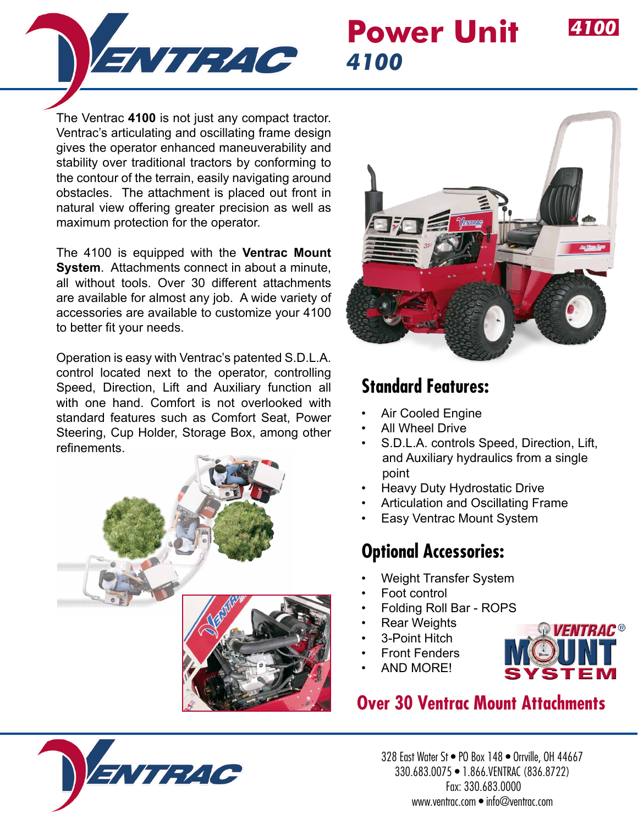

## **Power Unit** *4100*

The Ventrac **4100** is not just any compact tractor. Ventrac's articulating and oscillating frame design gives the operator enhanced maneuverability and stability over traditional tractors by conforming to the contour of the terrain, easily navigating around obstacles. The attachment is placed out front in natural view offering greater precision as well as maximum protection for the operator.

The 4100 is equipped with the **Ventrac Mount System**. Attachments connect in about a minute, all without tools. Over 30 different attachments are available for almost any job. A wide variety of accessories are available to customize your 4100 to better fit your needs.

Operation is easy with Ventrac's patented S.D.L.A. control located next to the operator, controlling Speed, Direction, Lift and Auxiliary function all with one hand. Comfort is not overlooked with standard features such as Comfort Seat, Power Steering, Cup Holder, Storage Box, among other refinements.





*4100*

#### **Standard Features:**

- **Air Cooled Engine**
- All Wheel Drive
- S.D.L.A. controls Speed, Direction, Lift, and Auxiliary hydraulics from a single point
- Heavy Duty Hydrostatic Drive
- Articulation and Oscillating Frame
- Easy Ventrac Mount System

#### **Optional Accessories:**

- Weight Transfer System
- Foot control
- Folding Roll Bar ROPS
- **Rear Weights**
- 3-Point Hitch
- **Front Fenders** • AND MORE!



### **Over 30 Ventrac Mount Attachments**



328 East Water St • PO Box 148 • Orrville, OH 44667 330.683.0075 • 1.866.VENTRAC (836.8722) Fax: 330.683.0000 www.ventrac.com • info@ventrac.com